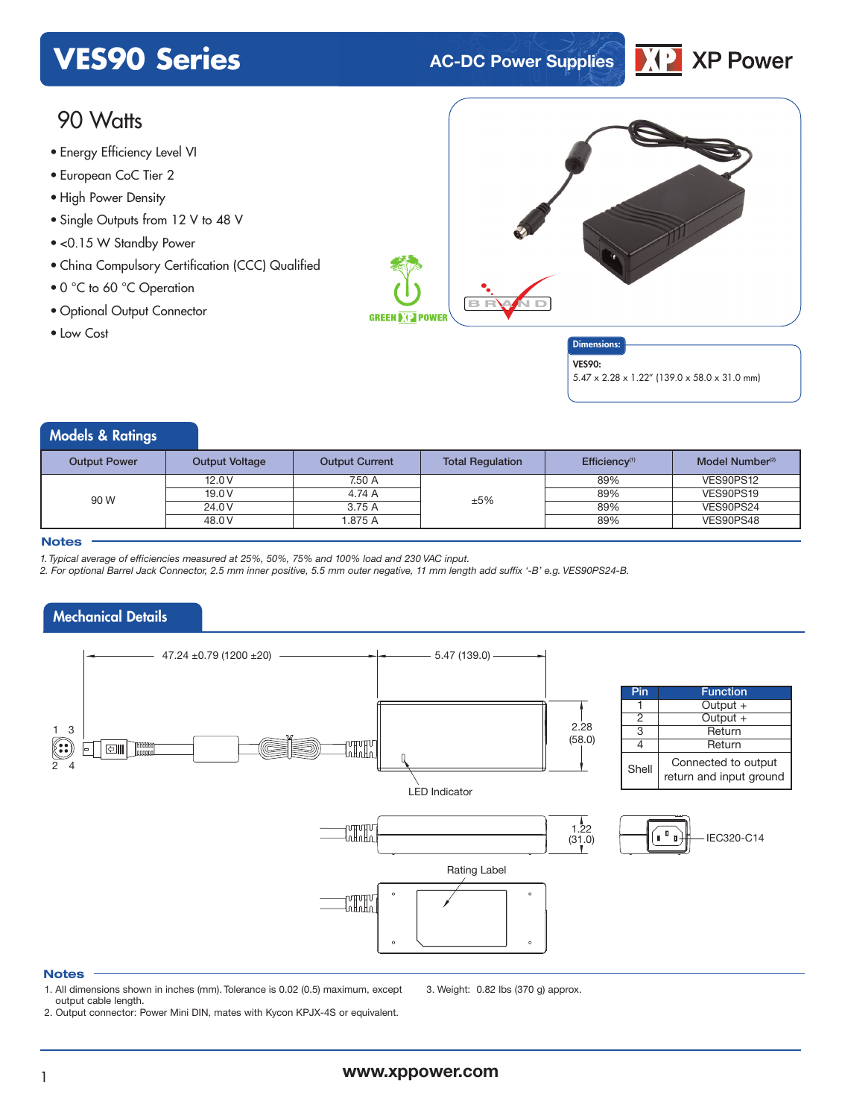# **VES90 Series AC-DC Power Supplies**



# 90 Watts

- Energy Efficiency Level VI
- European CoC Tier 2
- High Power Density
- Single Outputs from 12 V to 48 V
- <0.15 W Standby Power
- China Compulsory Certification (CCC) Qualified
- 0 °C to 60 °C Operation
- Optional Output Connector
- Low Cost





5.47 x 2.28 x 1.22" (139.0 x 58.0 x 31.0 mm)

### Models & Ratings

| <b>Output Power</b> | <b>Output Voltage</b> | <b>Output Current</b> | <b>Total Regulation</b> | Efficiency <sup>(1)</sup> | Model Number <sup>(2)</sup> |
|---------------------|-----------------------|-----------------------|-------------------------|---------------------------|-----------------------------|
| 90 W                | 12.0V                 | 7.50 A                |                         | 89%                       | VES90PS12                   |
|                     | 19.0 V                | 4.74 A                | ±5%                     | 89%                       | VES90PS19                   |
|                     | 24.0 V                | 3.75 A                |                         | 89%                       | VES90PS24                   |
|                     | 48.0 V                | 1.875 A               |                         | 89%                       | VES90PS48                   |
|                     |                       |                       |                         |                           |                             |

#### **Notes**

*1. Typical average of efficiencies measured at 25%, 50%, 75% and 100% load and 230 VAC input.*

2. For optional Barrel Jack Connector, 2.5 mm inner positive, 5.5 mm outer negative, 11 mm length add suffix '-B' e.g. VES90PS24-B.

# Mechanical Details



#### **Notes**

1. All dimensions shown in inches (mm). Tolerance is 0.02 (0.5) maximum, except output cable length.

3. Weight: 0.82 lbs (370 g) approx.

2. Output connector: Power Mini DIN, mates with Kycon KPJX-4S or equivalent.

<sup>1</sup> **www.xppower.com**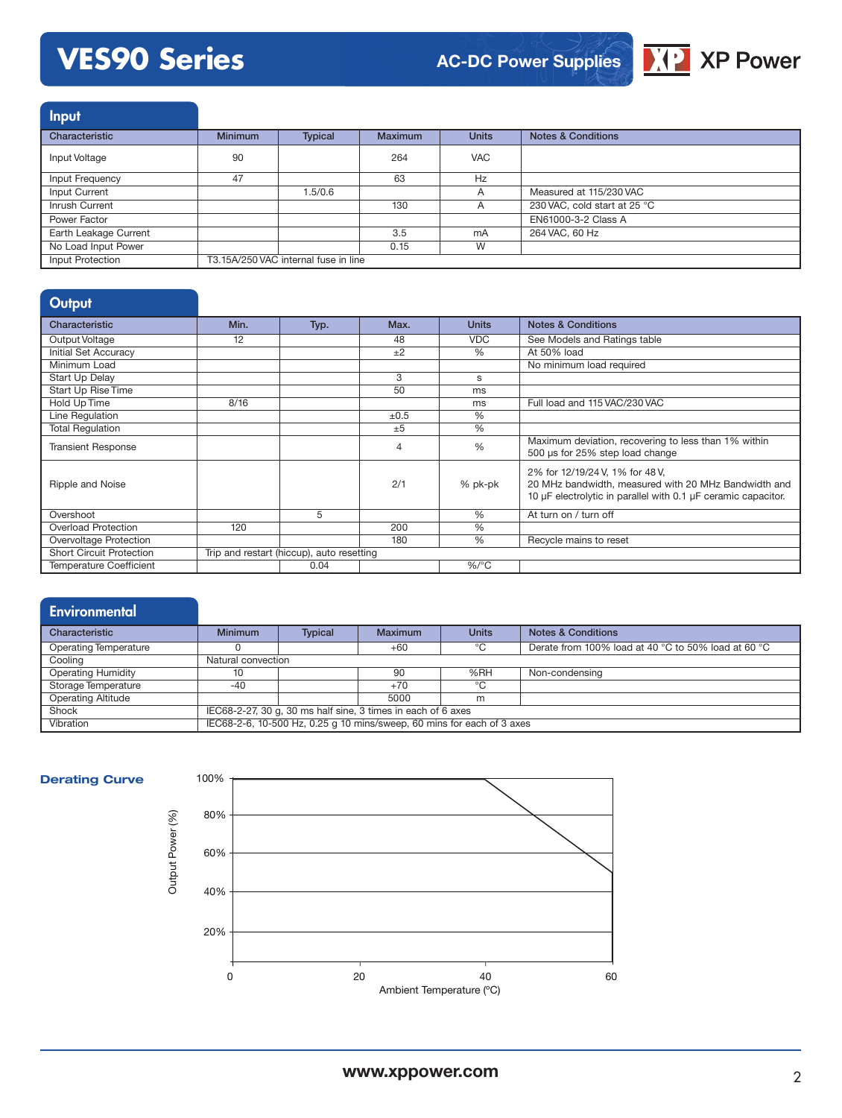# **VES90 Series**



Input Characteristic **Minimum** Typical Maximum Units Notes & Conditions Input Voltage 90 264 VAC Input Frequency **47** 47 63 Hz Input Current 1.5/0.6 A Measured at 115/230 VAC Inrush Current 130 A 230 VAC, cold start at 25 °C Power Factor EN61000-3-2 Class A<br>
Earth Leakage Current 264 VAC, 60 Hz Earth Leakage Current 3.5 mA 264 VAC, 60 Hz No Load Input Power Input Protection T3.15A/250 VAC internal fuse in line

| Output                          |      |                                           |      |               |                                                                                                                                                          |
|---------------------------------|------|-------------------------------------------|------|---------------|----------------------------------------------------------------------------------------------------------------------------------------------------------|
| Characteristic                  | Min. | Typ.                                      | Max. | <b>Units</b>  | <b>Notes &amp; Conditions</b>                                                                                                                            |
| Output Voltage                  | 12   |                                           | 48   | <b>VDC</b>    | See Models and Ratings table                                                                                                                             |
| Initial Set Accuracy            |      |                                           | $+2$ | $\%$          | At 50% load                                                                                                                                              |
| Minimum Load                    |      |                                           |      |               | No minimum load required                                                                                                                                 |
| Start Up Delay                  |      |                                           | 3    | s             |                                                                                                                                                          |
| Start Up Rise Time              |      |                                           | 50   | ms            |                                                                                                                                                          |
| Hold Up Time                    | 8/16 |                                           |      | ms            | Full load and 115 VAC/230 VAC                                                                                                                            |
| Line Regulation                 |      |                                           | ±0.5 | $\frac{9}{6}$ |                                                                                                                                                          |
| <b>Total Regulation</b>         |      |                                           | ±5   | $\%$          |                                                                                                                                                          |
| <b>Transient Response</b>       |      |                                           | 4    | %             | Maximum deviation, recovering to less than 1% within<br>500 µs for 25% step load change                                                                  |
| Ripple and Noise                |      |                                           | 2/1  | % pk-pk       | 2% for 12/19/24 V, 1% for 48 V,<br>20 MHz bandwidth, measured with 20 MHz Bandwidth and<br>10 µF electrolytic in parallel with 0.1 µF ceramic capacitor. |
| Overshoot                       |      | 5                                         |      | $\%$          | At turn on / turn off                                                                                                                                    |
| <b>Overload Protection</b>      | 120  |                                           | 200  | %             |                                                                                                                                                          |
| Overvoltage Protection          |      |                                           | 180  | $\%$          | Recycle mains to reset                                                                                                                                   |
| <b>Short Circuit Protection</b> |      | Trip and restart (hiccup), auto resetting |      |               |                                                                                                                                                          |
| <b>Temperature Coefficient</b>  |      | 0.04                                      |      | $%$ /°C       |                                                                                                                                                          |

## **Environmental**

| Characteristic            | <b>Minimum</b>                                                         | <b>Typical</b> | Maximum | <b>Units</b> | <b>Notes &amp; Conditions</b>                       |
|---------------------------|------------------------------------------------------------------------|----------------|---------|--------------|-----------------------------------------------------|
| Operating Temperature     |                                                                        |                | $+60$   | °∩           | Derate from 100% load at 40 °C to 50% load at 60 °C |
| Cooling                   | Natural convection                                                     |                |         |              |                                                     |
| <b>Operating Humidity</b> | 10                                                                     |                | 90      | %RH          | Non-condensing                                      |
| Storage Temperature       | -40                                                                    |                | $+70$   | $^{\circ}$ C |                                                     |
| <b>Operating Altitude</b> |                                                                        |                | 5000    | m            |                                                     |
| Shock                     | IEC68-2-27, 30 q, 30 ms half sine, 3 times in each of 6 axes           |                |         |              |                                                     |
| Vibration                 | IEC68-2-6, 10-500 Hz, 0.25 g 10 mins/sweep, 60 mins for each of 3 axes |                |         |              |                                                     |



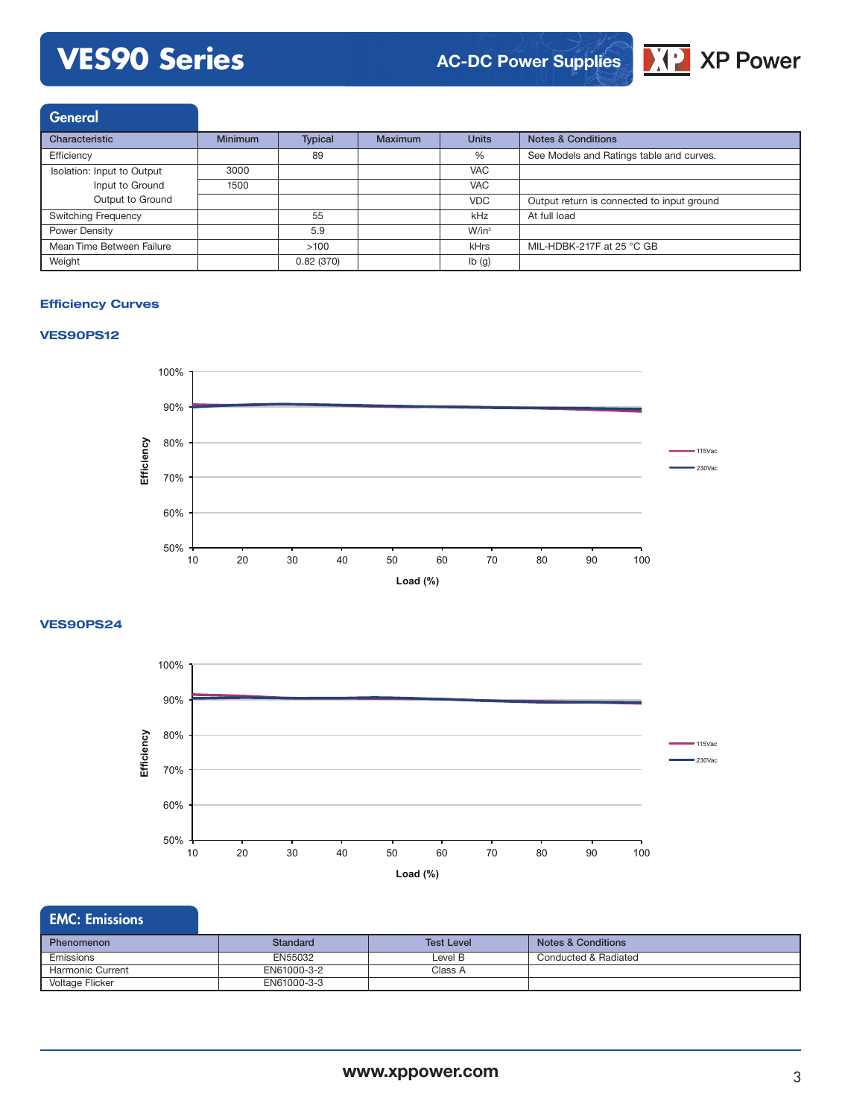# **VES90 Series**

# **AC-DC Power Supplies**



**General** Characteristic Minimum Typical Maximum Units Notes & Conditions Efficiency<br>
See Models and Ratings table and curves.<br>
See Models and Ratings table and curves.<br>
See Models and Ratings table and curves. Isolation: Input to Output Input to Ground Output to Ground 3000 VAC 1500 VAC VDC Output return is connected to input ground Switching Frequency **65 kHz** At full load Power Density W/in<sup>3</sup> M/in<sup>3</sup> Mean Time Between Failure  $>100$  kHrs MIL-HDBK-217F at 25 °C GB Weight **12 and 12 and 12 and 12 and 12 and 12 and 12 and 12 and 12 and 12 and 12 and 12 and 12 and 12 and 12 and 12 and 12 and 12 and 12 and 12 and 12 and 12 and 12 and 12 and 12 and 12 and 12 and 12 and 12 and 12 and 12 a** 

### **Efficiency Curves**

### **VES90PS12**



**VES90PS24**



| <b>EMC: Emissions</b> |
|-----------------------|
|                       |
|                       |
|                       |

| Phenomenon              | Standard    | <b>Test Level</b> | Notes & Conditions   |
|-------------------------|-------------|-------------------|----------------------|
| Emissions               | EN55032     | Level B           | Conducted & Radiated |
| <b>Harmonic Current</b> | EN61000-3-2 | Class A           |                      |
| Voltage Flicker         | EN61000-3-3 |                   |                      |